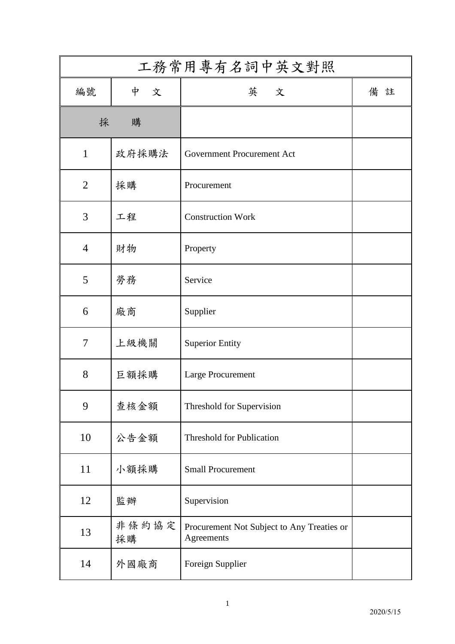| 工務常用專有名詞中英文對照  |             |                                                          |    |
|----------------|-------------|----------------------------------------------------------|----|
| 編號             | 中<br>文      | 英 文                                                      | 備註 |
| 採              | 購           |                                                          |    |
| $\mathbf{1}$   | 政府採購法       | <b>Government Procurement Act</b>                        |    |
| $\overline{2}$ | 採購          | Procurement                                              |    |
| 3              | 工程          | <b>Construction Work</b>                                 |    |
| $\overline{4}$ | 財物          | Property                                                 |    |
| 5              | 勞務          | Service                                                  |    |
| 6              | 廠商          | Supplier                                                 |    |
| $\overline{7}$ | 上級機關        | <b>Superior Entity</b>                                   |    |
| 8              | 巨額採購        | Large Procurement                                        |    |
| 9              | 查核金額        | Threshold for Supervision                                |    |
| 10             | 公告金額        | Threshold for Publication                                |    |
| 11             | 小額採購        | <b>Small Procurement</b>                                 |    |
| 12             | 監辦          | Supervision                                              |    |
| 13             | 非條約協定<br>採購 | Procurement Not Subject to Any Treaties or<br>Agreements |    |
| 14             | 外國廠商        | Foreign Supplier                                         |    |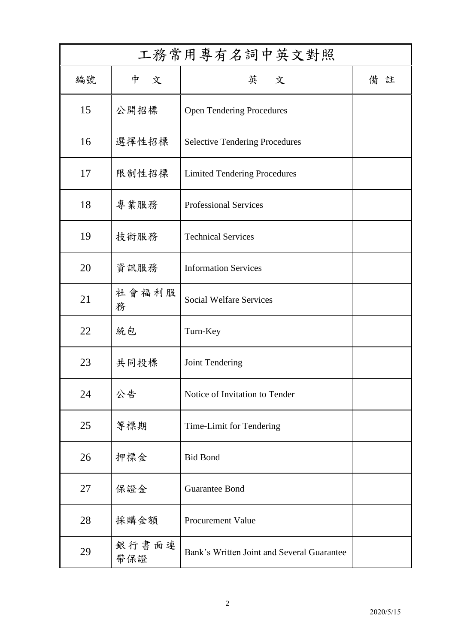| 工務常用專有名詞中英文對照 |              |                                            |    |
|---------------|--------------|--------------------------------------------|----|
| 編號            | 中<br>文       | 英 文                                        | 備註 |
| 15            | 公開招標         | <b>Open Tendering Procedures</b>           |    |
| 16            | 選擇性招標        | <b>Selective Tendering Procedures</b>      |    |
| 17            | 限制性招標        | <b>Limited Tendering Procedures</b>        |    |
| 18            | 專業服務         | <b>Professional Services</b>               |    |
| 19            | 技術服務         | <b>Technical Services</b>                  |    |
| 20            | 資訊服務         | <b>Information Services</b>                |    |
| 21            | 社會福利服<br>務   | <b>Social Welfare Services</b>             |    |
| 22            | 統包           | Turn-Key                                   |    |
| 23            | 共同投標         | Joint Tendering                            |    |
| 24            | 公告           | Notice of Invitation to Tender             |    |
| 25            | 等標期          | Time-Limit for Tendering                   |    |
| 26            | 押標金          | <b>Bid Bond</b>                            |    |
| 27            | 保證金          | <b>Guarantee Bond</b>                      |    |
| 28            | 採購金額         | <b>Procurement Value</b>                   |    |
| 29            | 銀行書面連<br>帶保證 | Bank's Written Joint and Several Guarantee |    |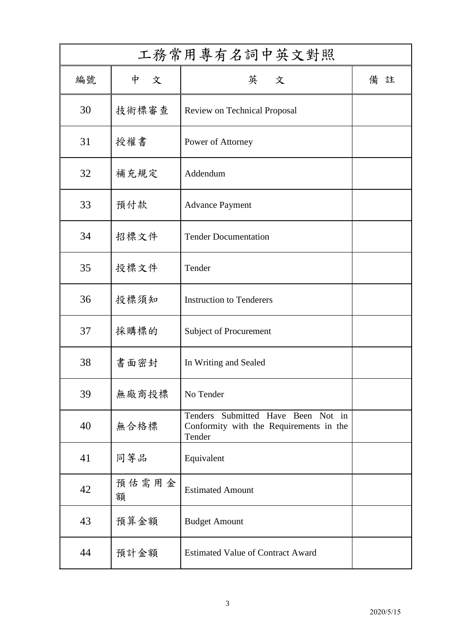| 工務常用專有名詞中英文對照 |            |                                                                                         |        |
|---------------|------------|-----------------------------------------------------------------------------------------|--------|
| 編號            | 中<br>文     | 英 文                                                                                     | 備<br>註 |
| 30            | 技術標審查      | <b>Review on Technical Proposal</b>                                                     |        |
| 31            | 授權書        | Power of Attorney                                                                       |        |
| 32            | 補充規定       | Addendum                                                                                |        |
| 33            | 預付款        | <b>Advance Payment</b>                                                                  |        |
| 34            | 招標文件       | <b>Tender Documentation</b>                                                             |        |
| 35            | 投標文件       | Tender                                                                                  |        |
| 36            | 投標須知       | <b>Instruction to Tenderers</b>                                                         |        |
| 37            | 採購標的       | Subject of Procurement                                                                  |        |
| 38            | 書面密封       | In Writing and Sealed                                                                   |        |
| 39            | 無廠商投標      | No Tender                                                                               |        |
| 40            | 無合格標       | Tenders Submitted Have Been Not in<br>Conformity with the Requirements in the<br>Tender |        |
| 41            | 同等品        | Equivalent                                                                              |        |
| 42            | 預估需用金<br>額 | <b>Estimated Amount</b>                                                                 |        |
| 43            | 預算金額       | <b>Budget Amount</b>                                                                    |        |
| 44            | 預計金額       | <b>Estimated Value of Contract Award</b>                                                |        |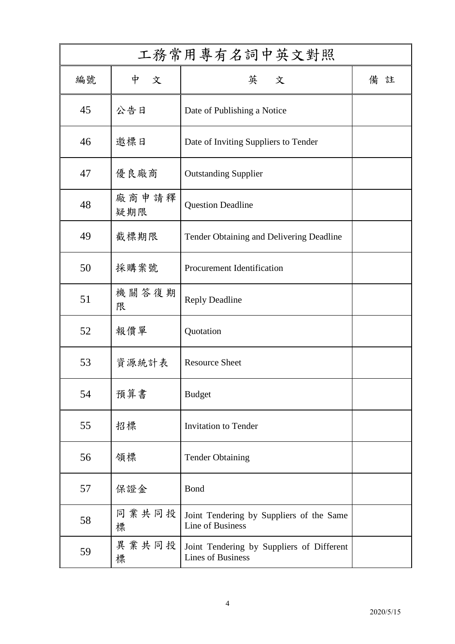| 工務常用專有名詞中英文對照 |              |                                                                       |        |
|---------------|--------------|-----------------------------------------------------------------------|--------|
| 編號            | 中<br>文       | 英 文                                                                   | 備<br>註 |
| 45            | 公告日          | Date of Publishing a Notice                                           |        |
| 46            | 邀標日          | Date of Inviting Suppliers to Tender                                  |        |
| 47            | 優良廠商         | <b>Outstanding Supplier</b>                                           |        |
| 48            | 廠商申請釋<br>疑期限 | <b>Question Deadline</b>                                              |        |
| 49            | 截標期限         | Tender Obtaining and Delivering Deadline                              |        |
| 50            | 採購案號         | <b>Procurement Identification</b>                                     |        |
| 51            | 機關答復期<br>限   | <b>Reply Deadline</b>                                                 |        |
| 52            | 報價單          | Quotation                                                             |        |
| 53            | 資源統計表        | <b>Resource Sheet</b>                                                 |        |
| 54            | 預算書          | <b>Budget</b>                                                         |        |
| 55            | 招標           | <b>Invitation to Tender</b>                                           |        |
| 56            | 領標           | <b>Tender Obtaining</b>                                               |        |
| 57            | 保證金          | Bond                                                                  |        |
| 58            | 同業共同投<br>標   | Joint Tendering by Suppliers of the Same<br>Line of Business          |        |
| 59            | 異業共同投<br>標   | Joint Tendering by Suppliers of Different<br><b>Lines of Business</b> |        |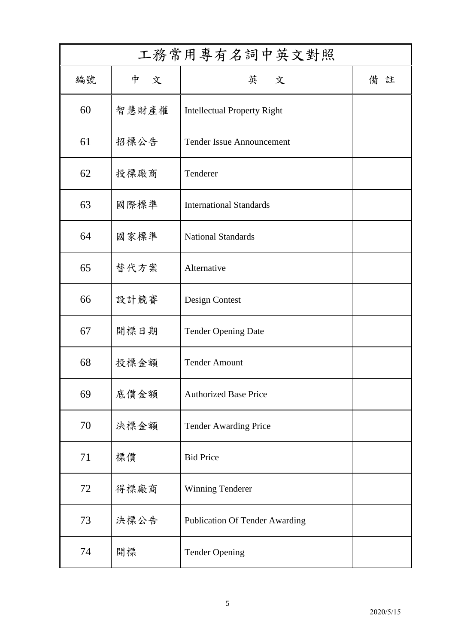| 工務常用專有名詞中英文對照 |        |                                       |        |
|---------------|--------|---------------------------------------|--------|
| 編號            | 中<br>文 | 英 文                                   | 備<br>註 |
| 60            | 智慧財產權  | <b>Intellectual Property Right</b>    |        |
| 61            | 招標公告   | <b>Tender Issue Announcement</b>      |        |
| 62            | 投標廠商   | Tenderer                              |        |
| 63            | 國際標準   | <b>International Standards</b>        |        |
| 64            | 國家標準   | <b>National Standards</b>             |        |
| 65            | 替代方案   | Alternative                           |        |
| 66            | 設計競賽   | Design Contest                        |        |
| 67            | 開標日期   | <b>Tender Opening Date</b>            |        |
| 68            | 投標金額   | <b>Tender Amount</b>                  |        |
| 69            | 底價金額   | <b>Authorized Base Price</b>          |        |
| 70            | 決標金額   | <b>Tender Awarding Price</b>          |        |
| 71            | 標價     | <b>Bid Price</b>                      |        |
| 72            | 得標廠商   | <b>Winning Tenderer</b>               |        |
| 73            | 決標公告   | <b>Publication Of Tender Awarding</b> |        |
| 74            | 開標     | <b>Tender Opening</b>                 |        |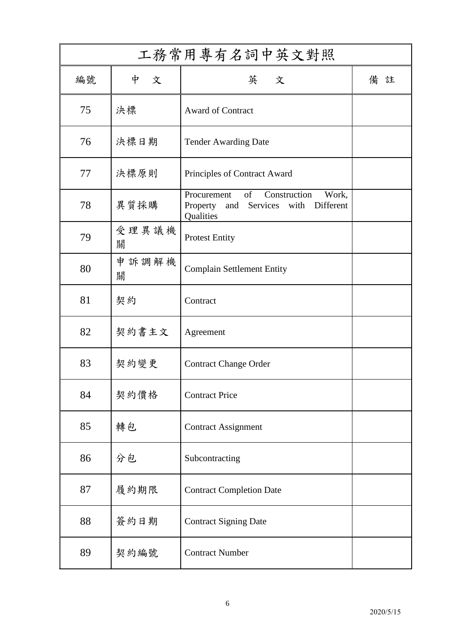| 工務常用專有名詞中英文對照 |            |                                                                                                          |     |
|---------------|------------|----------------------------------------------------------------------------------------------------------|-----|
| 編號            | 中<br>文     | 英 文                                                                                                      | 備 註 |
| 75            | 決標         | <b>Award of Contract</b>                                                                                 |     |
| 76            | 決標日期       | <b>Tender Awarding Date</b>                                                                              |     |
| 77            | 決標原則       | Principles of Contract Award                                                                             |     |
| 78            | 異質採購       | of<br>Procurement<br>Construction<br>Work,<br>and Services<br>with<br>Different<br>Property<br>Qualities |     |
| 79            | 受理異議機<br>關 | <b>Protest Entity</b>                                                                                    |     |
| 80            | 申訴調解機<br>關 | <b>Complain Settlement Entity</b>                                                                        |     |
| 81            | 契約         | Contract                                                                                                 |     |
| 82            | 契約書主文      | Agreement                                                                                                |     |
| 83            | 契約變更       | <b>Contract Change Order</b>                                                                             |     |
| 84            | 契約價格       | <b>Contract Price</b>                                                                                    |     |
| 85            | 轉包         | <b>Contract Assignment</b>                                                                               |     |
| 86            | 分包         | Subcontracting                                                                                           |     |
| 87            | 履約期限       | <b>Contract Completion Date</b>                                                                          |     |
| 88            | 簽約日期       | <b>Contract Signing Date</b>                                                                             |     |
| 89            | 契約編號       | <b>Contract Number</b>                                                                                   |     |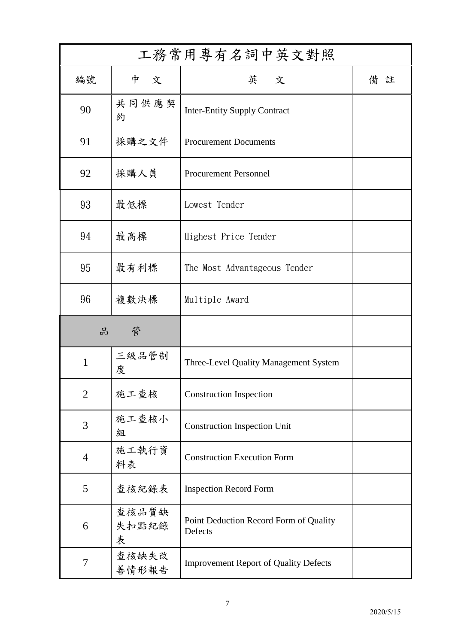| 工務常用專有名詞中英文對照  |                     |                                                   |    |
|----------------|---------------------|---------------------------------------------------|----|
| 編號             | 中<br>文              | 英 文                                               | 備註 |
| 90             | 共同供應契<br>約          | <b>Inter-Entity Supply Contract</b>               |    |
| 91             | 採購之文件               | <b>Procurement Documents</b>                      |    |
| 92             | 採購人員                | <b>Procurement Personnel</b>                      |    |
| 93             | 最低標                 | Lowest Tender                                     |    |
| 94             | 最高標                 | Highest Price Tender                              |    |
| 95             | 最有利標                | The Most Advantageous Tender                      |    |
| 96             | 複數決標                | Multiple Award                                    |    |
| 品              | 管                   |                                                   |    |
| $\mathbf{1}$   | 三級品管制<br>度          | Three-Level Quality Management System             |    |
| $\overline{2}$ | 施工查核                | <b>Construction Inspection</b>                    |    |
| 3              | 施工查核小<br>組          | <b>Construction Inspection Unit</b>               |    |
| $\overline{4}$ | 施工執行資<br>料表         | <b>Construction Execution Form</b>                |    |
| 5              | 查核紀錄表               | <b>Inspection Record Form</b>                     |    |
| 6              | 查核品質缺<br>失扣點紀錄<br>表 | Point Deduction Record Form of Quality<br>Defects |    |
| $\overline{7}$ | 查核缺失改<br>善情形報告      | <b>Improvement Report of Quality Defects</b>      |    |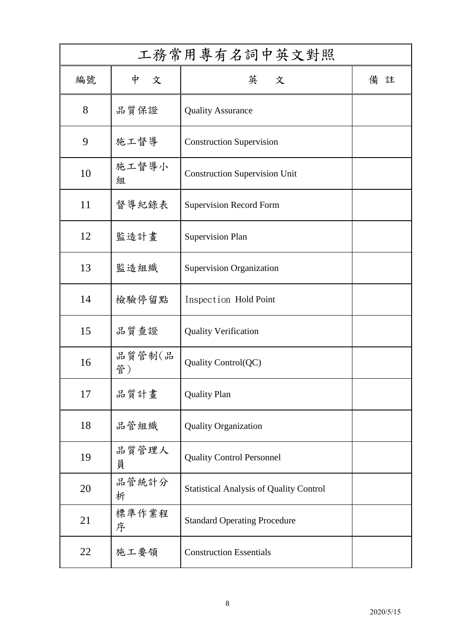| 工務常用專有名詞中英文對照 |              |                                                |    |
|---------------|--------------|------------------------------------------------|----|
| 編號            | 中<br>文       | 英 文                                            | 備註 |
| 8             | 品質保證         | <b>Quality Assurance</b>                       |    |
| 9             | 施工督導         | <b>Construction Supervision</b>                |    |
| 10            | 施工督導小<br>組   | <b>Construction Supervision Unit</b>           |    |
| 11            | 督導紀錄表        | <b>Supervision Record Form</b>                 |    |
| 12            | 監造計畫         | <b>Supervision Plan</b>                        |    |
| 13            | 監造組織         | Supervision Organization                       |    |
| 14            | 檢驗停留點        | Inspection Hold Point                          |    |
| 15            | 品質查證         | <b>Quality Verification</b>                    |    |
| 16            | 品質管制(品<br>管) | Quality Control(QC)                            |    |
| 17            | 品質計畫         | <b>Quality Plan</b>                            |    |
| 18            | 品管組織         | <b>Quality Organization</b>                    |    |
| 19            | 品質管理人<br>員   | <b>Quality Control Personnel</b>               |    |
| 20            | 品管統計分<br>析   | <b>Statistical Analysis of Quality Control</b> |    |
| 21            | 標準作業程<br>序   | <b>Standard Operating Procedure</b>            |    |
| 22            | 施工要領         | <b>Construction Essentials</b>                 |    |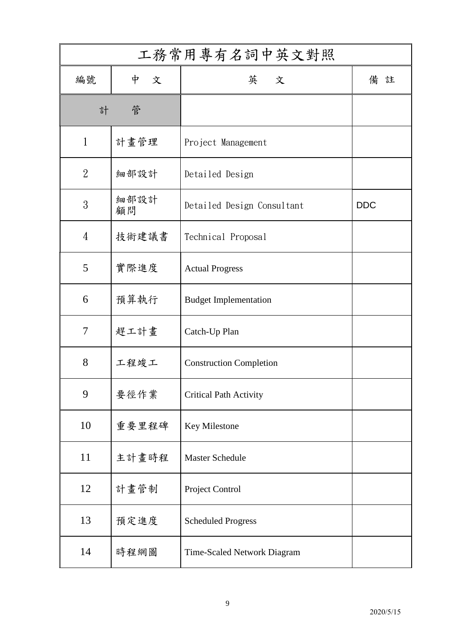| 工務常用專有名詞中英文對照  |            |                                |            |
|----------------|------------|--------------------------------|------------|
| 編號             | 中<br>文     | 英 文                            | 備註         |
| 計              | 管          |                                |            |
| $\mathbf{1}$   | 計畫管理       | Project Management             |            |
| $\overline{2}$ | 細部設計       | Detailed Design                |            |
| 3              | 細部設計<br>顧問 | Detailed Design Consultant     | <b>DDC</b> |
| $\overline{4}$ | 技術建議書      | Technical Proposal             |            |
| 5              | 實際進度       | <b>Actual Progress</b>         |            |
| 6              | 預算執行       | <b>Budget Implementation</b>   |            |
| $\tau$         | 趕工計畫       | Catch-Up Plan                  |            |
| 8              | 工程竣工       | <b>Construction Completion</b> |            |
| 9              | 要徑作業       | <b>Critical Path Activity</b>  |            |
| 10             | 重要里程碑      | Key Milestone                  |            |
| 11             | 主計畫時程      | <b>Master Schedule</b>         |            |
| 12             | 計畫管制       | Project Control                |            |
| 13             | 預定進度       | <b>Scheduled Progress</b>      |            |
| 14             | 時程網圖       | Time-Scaled Network Diagram    |            |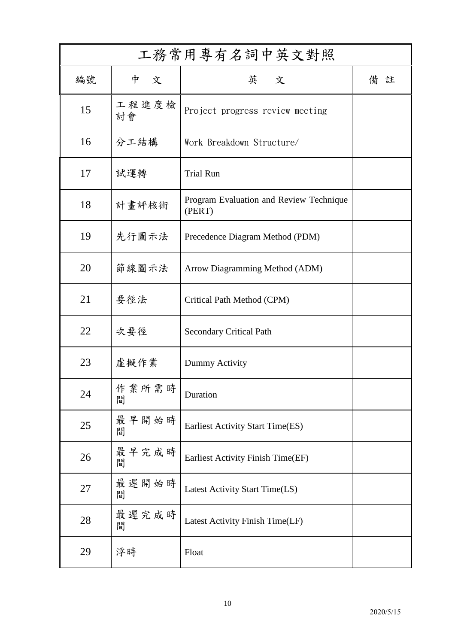| 工務常用專有名詞中英文對照 |             |                                                   |    |
|---------------|-------------|---------------------------------------------------|----|
| 編號            | 中<br>文      | 英 文                                               | 備註 |
| 15            | 工程進度檢<br>討會 | Project progress review meeting                   |    |
| 16            | 分工結構        | Work Breakdown Structure/                         |    |
| 17            | 試運轉         | <b>Trial Run</b>                                  |    |
| 18            | 計畫評核術       | Program Evaluation and Review Technique<br>(PERT) |    |
| 19            | 先行圖示法       | Precedence Diagram Method (PDM)                   |    |
| 20            | 節線圖示法       | Arrow Diagramming Method (ADM)                    |    |
| 21            | 要徑法         | Critical Path Method (CPM)                        |    |
| 22            | 次要徑         | <b>Secondary Critical Path</b>                    |    |
| 23            | 虚擬作業        | Dummy Activity                                    |    |
| 24            | 作業所需時<br>間  | Duration                                          |    |
| 25            | 最早開始時<br>間  | <b>Earliest Activity Start Time(ES)</b>           |    |
| 26            | 最早完成時<br>間  | Earliest Activity Finish Time(EF)                 |    |
| 27            | 最遲開始時<br>間  | Latest Activity Start Time(LS)                    |    |
| 28            | 最遲完成時<br>間  | Latest Activity Finish Time(LF)                   |    |
| 29            | 浮時          | Float                                             |    |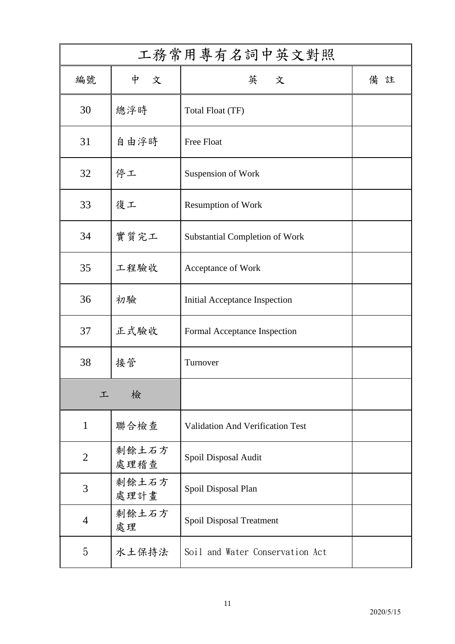| 工務常用專有名詞中英文對照  |               |                                         |    |
|----------------|---------------|-----------------------------------------|----|
| 編號             | 中<br>文        | 英 文                                     | 備註 |
| 30             | 總浮時           | <b>Total Float (TF)</b>                 |    |
| 31             | 自由浮時          | Free Float                              |    |
| 32             | 停工            | Suspension of Work                      |    |
| 33             | 復工            | <b>Resumption of Work</b>               |    |
| 34             | 實質完工          | <b>Substantial Completion of Work</b>   |    |
| 35             | 工程驗收          | Acceptance of Work                      |    |
| 36             | 初驗            | Initial Acceptance Inspection           |    |
| 37             | 正式驗收          | Formal Acceptance Inspection            |    |
| 38             | 接管            | Turnover                                |    |
| 工              | 檢             |                                         |    |
| $\mathbf{1}$   | 聯合檢查          | <b>Validation And Verification Test</b> |    |
| $\overline{2}$ | 剩餘土石方<br>處理稽查 | Spoil Disposal Audit                    |    |
| 3              | 剩餘土石方<br>處理計畫 | Spoil Disposal Plan                     |    |
| $\overline{4}$ | 剩餘土石方<br>處理   | Spoil Disposal Treatment                |    |
| 5              | 水土保持法         | Soil and Water Conservation Act         |    |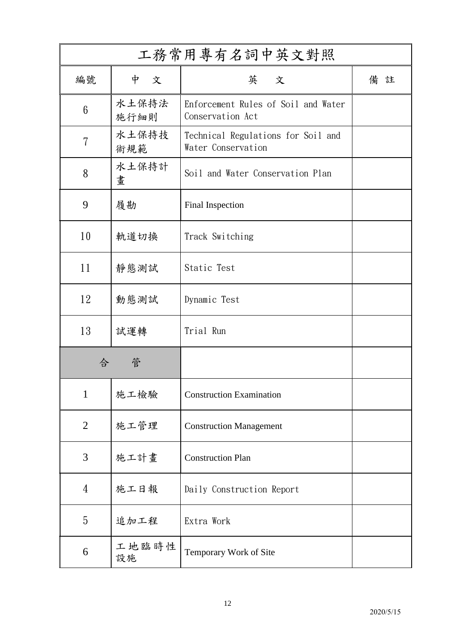| 工務常用專有名詞中英文對照  |               |                                                          |    |
|----------------|---------------|----------------------------------------------------------|----|
| 編號             | 中<br>文        | 英 文                                                      | 備註 |
| $6\phantom{1}$ | 水土保持法<br>施行細則 | Enforcement Rules of Soil and Water<br>Conservation Act  |    |
| 7              | 水土保持技<br>術規範  | Technical Regulations for Soil and<br>Water Conservation |    |
| 8              | 水土保持計<br>畫    | Soil and Water Conservation Plan                         |    |
| 9              | 履勘            | Final Inspection                                         |    |
| 10             | 軌道切換          | Track Switching                                          |    |
| 11             | 靜態測試          | Static Test                                              |    |
| 12             | 動態測試          | Dynamic Test                                             |    |
| 13             | 試運轉           | Trial Run                                                |    |
| 合              | 管             |                                                          |    |
| $\mathbf{1}$   | 施工檢驗          | <b>Construction Examination</b>                          |    |
| $\overline{2}$ | 施工管理          | <b>Construction Management</b>                           |    |
| 3              | 施工計畫          | <b>Construction Plan</b>                                 |    |
| $\overline{4}$ | 施工日報          | Daily Construction Report                                |    |
| 5              | 追加工程          | Extra Work                                               |    |
| 6              | 工地臨時性<br>設施   | Temporary Work of Site                                   |    |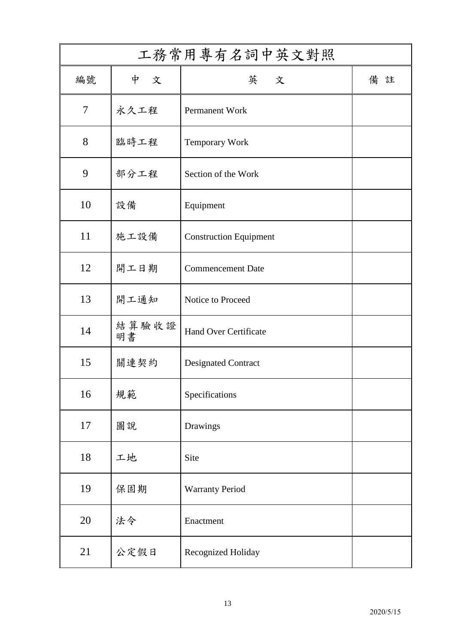| 工務常用專有名詞中英文對照  |             |                               |    |  |  |
|----------------|-------------|-------------------------------|----|--|--|
| 編號             | 中<br>文      | 英 文                           | 備註 |  |  |
| $\overline{7}$ | 永久工程        | Permanent Work                |    |  |  |
| 8              | 臨時工程        | <b>Temporary Work</b>         |    |  |  |
| 9              | 部分工程        | Section of the Work           |    |  |  |
| 10             | 設備          | Equipment                     |    |  |  |
| 11             | 施工設備        | <b>Construction Equipment</b> |    |  |  |
| 12             | 開工日期        | <b>Commencement Date</b>      |    |  |  |
| 13             | 開工通知        | Notice to Proceed             |    |  |  |
| 14             | 結算驗收證<br>明書 | <b>Hand Over Certificate</b>  |    |  |  |
| 15             | 關連契約        | <b>Designated Contract</b>    |    |  |  |
| 16             | 規範          | Specifications                |    |  |  |
| $17\,$         | 圖說          | Drawings                      |    |  |  |
| 18             | 工地          | Site                          |    |  |  |
| 19             | 保固期         | <b>Warranty Period</b>        |    |  |  |
| 20             | 法令          | Enactment                     |    |  |  |
| 21             | 公定假日        | Recognized Holiday            |    |  |  |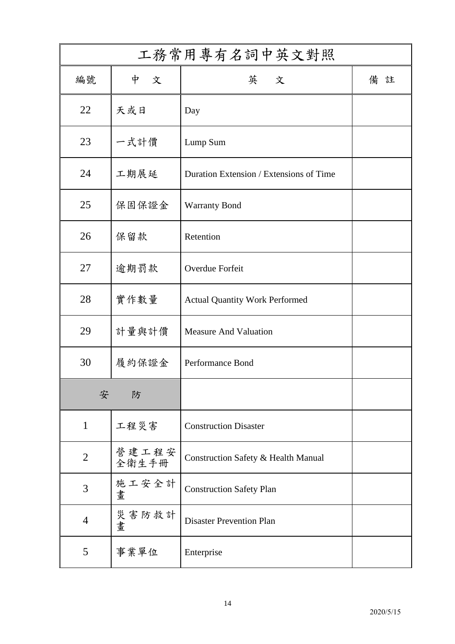| 工務常用專有名詞中英文對照  |                |                                         |    |  |  |
|----------------|----------------|-----------------------------------------|----|--|--|
| 編號             | 中<br>文         | 英 文                                     | 備註 |  |  |
| 22             | 天或日            | Day                                     |    |  |  |
| 23             | 一式計價           | Lump Sum                                |    |  |  |
| 24             | 工期展延           | Duration Extension / Extensions of Time |    |  |  |
| 25             | 保固保證金          | <b>Warranty Bond</b>                    |    |  |  |
| 26             | 保留款            | Retention                               |    |  |  |
| 27             | 逾期罰款           | Overdue Forfeit                         |    |  |  |
| 28             | 實作數量           | <b>Actual Quantity Work Performed</b>   |    |  |  |
| 29             | 計量與計價          | <b>Measure And Valuation</b>            |    |  |  |
| 30             | 履約保證金          | Performance Bond                        |    |  |  |
| 安<br>防         |                |                                         |    |  |  |
| $\mathbf{1}$   | 工程災害           | <b>Construction Disaster</b>            |    |  |  |
| $\overline{2}$ | 營建工程安<br>全衛生手冊 | Construction Safety & Health Manual     |    |  |  |
| 3              | 施工安全計<br>畫     | <b>Construction Safety Plan</b>         |    |  |  |
| $\overline{4}$ | 災害防救計<br>畫     | <b>Disaster Prevention Plan</b>         |    |  |  |
| 5              | 事業單位           | Enterprise                              |    |  |  |